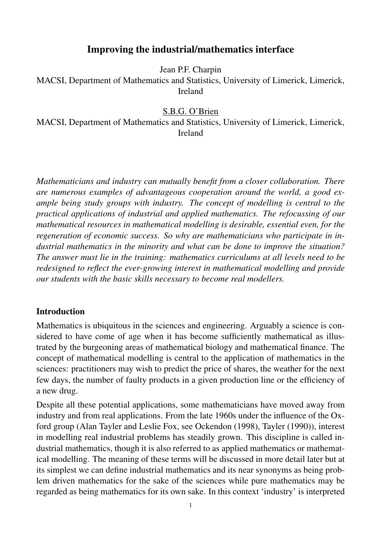# Improving the industrial/mathematics interface

Jean P.F. Charpin

MACSI, Department of Mathematics and Statistics, University of Limerick, Limerick, Ireland

#### S.B.G. O'Brien

MACSI, Department of Mathematics and Statistics, University of Limerick, Limerick, Ireland

*Mathematicians and industry can mutually benefit from a closer collaboration. There are numerous examples of advantageous cooperation around the world, a good example being study groups with industry. The concept of modelling is central to the practical applications of industrial and applied mathematics. The refocussing of our mathematical resources in mathematical modelling is desirable, essential even, for the regeneration of economic success. So why are mathematicians who participate in industrial mathematics in the minority and what can be done to improve the situation? The answer must lie in the training: mathematics curriculums at all levels need to be redesigned to reflect the ever-growing interest in mathematical modelling and provide our students with the basic skills necessary to become real modellers.*

#### **Introduction**

Mathematics is ubiquitous in the sciences and engineering. Arguably a science is considered to have come of age when it has become sufficiently mathematical as illustrated by the burgeoning areas of mathematical biology and mathematical finance. The concept of mathematical modelling is central to the application of mathematics in the sciences: practitioners may wish to predict the price of shares, the weather for the next few days, the number of faulty products in a given production line or the efficiency of a new drug.

Despite all these potential applications, some mathematicians have moved away from industry and from real applications. From the late 1960s under the influence of the Oxford group (Alan Tayler and Leslie Fox, see Ockendon (1998), Tayler (1990)), interest in modelling real industrial problems has steadily grown. This discipline is called industrial mathematics, though it is also referred to as applied mathematics or mathematical modelling. The meaning of these terms will be discussed in more detail later but at its simplest we can define industrial mathematics and its near synonyms as being problem driven mathematics for the sake of the sciences while pure mathematics may be regarded as being mathematics for its own sake. In this context 'industry' is interpreted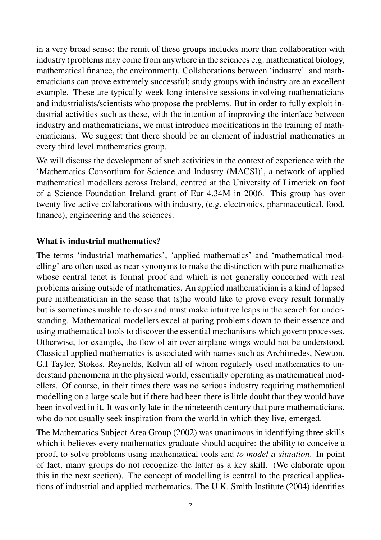in a very broad sense: the remit of these groups includes more than collaboration with industry (problems may come from anywhere in the sciences e.g. mathematical biology, mathematical finance, the environment). Collaborations between 'industry' and mathematicians can prove extremely successful; study groups with industry are an excellent example. These are typically week long intensive sessions involving mathematicians and industrialists/scientists who propose the problems. But in order to fully exploit industrial activities such as these, with the intention of improving the interface between industry and mathematicians, we must introduce modifications in the training of mathematicians. We suggest that there should be an element of industrial mathematics in every third level mathematics group.

We will discuss the development of such activities in the context of experience with the 'Mathematics Consortium for Science and Industry (MACSI)', a network of applied mathematical modellers across Ireland, centred at the University of Limerick on foot of a Science Foundation Ireland grant of Eur 4.34M in 2006. This group has over twenty five active collaborations with industry, (e.g. electronics, pharmaceutical, food, finance), engineering and the sciences.

### What is industrial mathematics?

The terms 'industrial mathematics', 'applied mathematics' and 'mathematical modelling' are often used as near synonyms to make the distinction with pure mathematics whose central tenet is formal proof and which is not generally concerned with real problems arising outside of mathematics. An applied mathematician is a kind of lapsed pure mathematician in the sense that (s)he would like to prove every result formally but is sometimes unable to do so and must make intuitive leaps in the search for understanding. Mathematical modellers excel at paring problems down to their essence and using mathematical tools to discover the essential mechanisms which govern processes. Otherwise, for example, the flow of air over airplane wings would not be understood. Classical applied mathematics is associated with names such as Archimedes, Newton, G.I Taylor, Stokes, Reynolds, Kelvin all of whom regularly used mathematics to understand phenomena in the physical world, essentially operating as mathematical modellers. Of course, in their times there was no serious industry requiring mathematical modelling on a large scale but if there had been there is little doubt that they would have been involved in it. It was only late in the nineteenth century that pure mathematicians, who do not usually seek inspiration from the world in which they live, emerged.

The Mathematics Subject Area Group (2002) was unanimous in identifying three skills which it believes every mathematics graduate should acquire: the ability to conceive a proof, to solve problems using mathematical tools and *to model a situation*. In point of fact, many groups do not recognize the latter as a key skill. (We elaborate upon this in the next section). The concept of modelling is central to the practical applications of industrial and applied mathematics. The U.K. Smith Institute (2004) identifies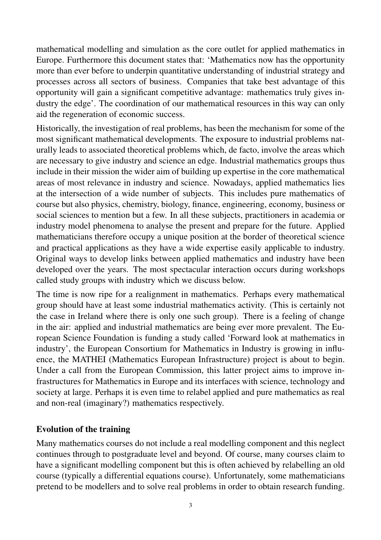mathematical modelling and simulation as the core outlet for applied mathematics in Europe. Furthermore this document states that: 'Mathematics now has the opportunity more than ever before to underpin quantitative understanding of industrial strategy and processes across all sectors of business. Companies that take best advantage of this opportunity will gain a significant competitive advantage: mathematics truly gives industry the edge'. The coordination of our mathematical resources in this way can only aid the regeneration of economic success.

Historically, the investigation of real problems, has been the mechanism for some of the most significant mathematical developments. The exposure to industrial problems naturally leads to associated theoretical problems which, de facto, involve the areas which are necessary to give industry and science an edge. Industrial mathematics groups thus include in their mission the wider aim of building up expertise in the core mathematical areas of most relevance in industry and science. Nowadays, applied mathematics lies at the intersection of a wide number of subjects. This includes pure mathematics of course but also physics, chemistry, biology, finance, engineering, economy, business or social sciences to mention but a few. In all these subjects, practitioners in academia or industry model phenomena to analyse the present and prepare for the future. Applied mathematicians therefore occupy a unique position at the border of theoretical science and practical applications as they have a wide expertise easily applicable to industry. Original ways to develop links between applied mathematics and industry have been developed over the years. The most spectacular interaction occurs during workshops called study groups with industry which we discuss below.

The time is now ripe for a realignment in mathematics. Perhaps every mathematical group should have at least some industrial mathematics activity. (This is certainly not the case in Ireland where there is only one such group). There is a feeling of change in the air: applied and industrial mathematics are being ever more prevalent. The European Science Foundation is funding a study called 'Forward look at mathematics in industry', the European Consortium for Mathematics in Industry is growing in influence, the MATHEI (Mathematics European Infrastructure) project is about to begin. Under a call from the European Commission, this latter project aims to improve infrastructures for Mathematics in Europe and its interfaces with science, technology and society at large. Perhaps it is even time to relabel applied and pure mathematics as real and non-real (imaginary?) mathematics respectively.

### Evolution of the training

Many mathematics courses do not include a real modelling component and this neglect continues through to postgraduate level and beyond. Of course, many courses claim to have a significant modelling component but this is often achieved by relabelling an old course (typically a differential equations course). Unfortunately, some mathematicians pretend to be modellers and to solve real problems in order to obtain research funding.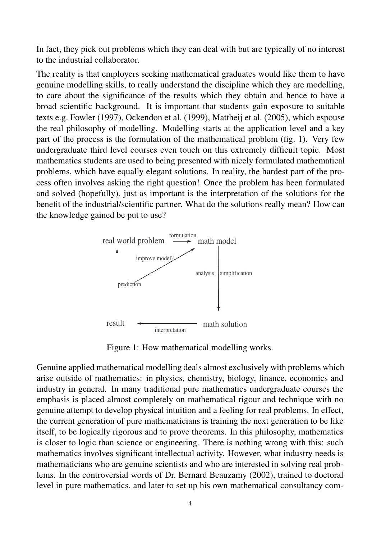In fact, they pick out problems which they can deal with but are typically of no interest to the industrial collaborator.

The reality is that employers seeking mathematical graduates would like them to have genuine modelling skills, to really understand the discipline which they are modelling, to care about the significance of the results which they obtain and hence to have a broad scientific background. It is important that students gain exposure to suitable texts e.g. Fowler (1997), Ockendon et al. (1999), Mattheij et al. (2005), which espouse the real philosophy of modelling. Modelling starts at the application level and a key part of the process is the formulation of the mathematical problem (fig. 1). Very few undergraduate third level courses even touch on this extremely difficult topic. Most mathematics students are used to being presented with nicely formulated mathematical problems, which have equally elegant solutions. In reality, the hardest part of the process often involves asking the right question! Once the problem has been formulated and solved (hopefully), just as important is the interpretation of the solutions for the benefit of the industrial/scientific partner. What do the solutions really mean? How can the knowledge gained be put to use?



Figure 1: How mathematical modelling works.

Genuine applied mathematical modelling deals almost exclusively with problems which arise outside of mathematics: in physics, chemistry, biology, finance, economics and industry in general. In many traditional pure mathematics undergraduate courses the emphasis is placed almost completely on mathematical rigour and technique with no genuine attempt to develop physical intuition and a feeling for real problems. In effect, the current generation of pure mathematicians is training the next generation to be like itself, to be logically rigorous and to prove theorems. In this philosophy, mathematics is closer to logic than science or engineering. There is nothing wrong with this: such mathematics involves significant intellectual activity. However, what industry needs is mathematicians who are genuine scientists and who are interested in solving real problems. In the controversial words of Dr. Bernard Beauzamy (2002), trained to doctoral level in pure mathematics, and later to set up his own mathematical consultancy com-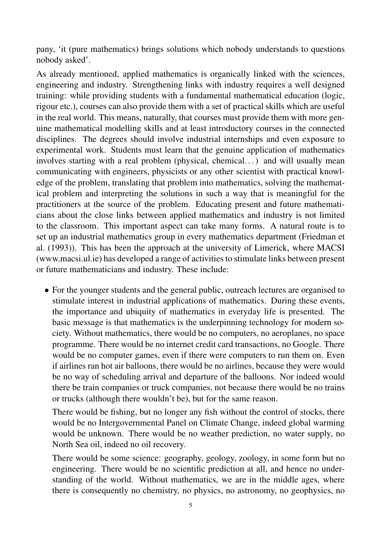pany, 'it (pure mathematics) brings solutions which nobody understands to questions nobody asked'.

As already mentioned, applied mathematics is organically linked with the sciences, engineering and industry. Strengthening links with industry requires a well designed training: while providing students with a fundamental mathematical education (logic, rigour etc.), courses can also provide them with a set of practical skills which are useful in the real world. This means, naturally, that courses must provide them with more genuine mathematical modelling skills and at least introductory courses in the connected disciplines. The degrees should involve industrial internships and even exposure to experimental work. Students must learn that the genuine application of mathematics involves starting with a real problem (physical, chemical...) and will usually mean communicating with engineers, physicists or any other scientist with practical knowledge of the problem, translating that problem into mathematics, solving the mathematical problem and interpreting the solutions in such a way that is meaningful for the practitioners at the source of the problem. Educating present and future mathematicians about the close links between applied mathematics and industry is not limited to the classroom. This important aspect can take many forms. A natural route is to set up an industrial mathematics group in every mathematics department (Friedman et al. (1993)). This has been the approach at the university of Limerick, where MACSI (www.macsi.ul.ie) has developed a range of activities to stimulate links between present or future mathematicians and industry. These include:

• For the younger students and the general public, outreach lectures are organised to stimulate interest in industrial applications of mathematics. During these events, the importance and ubiquity of mathematics in everyday life is presented. The basic message is that mathematics is the underpinning technology for modern society. Without mathematics, there would be no computers, no aeroplanes, no space programme. There would be no internet credit card transactions, no Google. There would be no computer games, even if there were computers to run them on. Even if airlines ran hot air balloons, there would be no airlines, because they were would be no way of scheduling arrival and departure of the balloons. Nor indeed would there be train companies or truck companies, not because there would be no trains or trucks (although there wouldn't be), but for the same reason.

There would be fishing, but no longer any fish without the control of stocks, there would be no Intergovernmental Panel on Climate Change, indeed global warming would be unknown. There would be no weather prediction, no water supply, no North Sea oil, indeed no oil recovery.

There would be some science: geography, geology, zoology, in some form but no engineering. There would be no scientific prediction at all, and hence no understanding of the world. Without mathematics, we are in the middle ages, where there is consequently no chemistry, no physics, no astronomy, no geophysics, no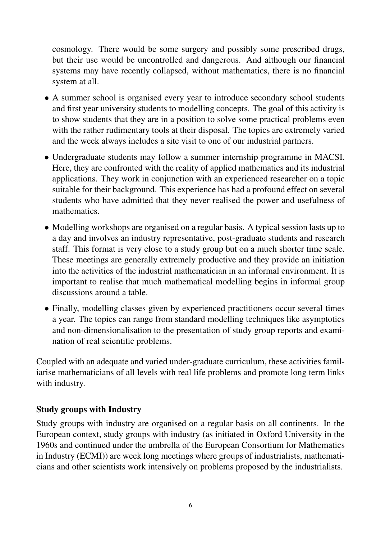cosmology. There would be some surgery and possibly some prescribed drugs, but their use would be uncontrolled and dangerous. And although our financial systems may have recently collapsed, without mathematics, there is no financial system at all.

- A summer school is organised every year to introduce secondary school students and first year university students to modelling concepts. The goal of this activity is to show students that they are in a position to solve some practical problems even with the rather rudimentary tools at their disposal. The topics are extremely varied and the week always includes a site visit to one of our industrial partners.
- Undergraduate students may follow a summer internship programme in MACSI. Here, they are confronted with the reality of applied mathematics and its industrial applications. They work in conjunction with an experienced researcher on a topic suitable for their background. This experience has had a profound effect on several students who have admitted that they never realised the power and usefulness of mathematics.
- Modelling workshops are organised on a regular basis. A typical session lasts up to a day and involves an industry representative, post-graduate students and research staff. This format is very close to a study group but on a much shorter time scale. These meetings are generally extremely productive and they provide an initiation into the activities of the industrial mathematician in an informal environment. It is important to realise that much mathematical modelling begins in informal group discussions around a table.
- Finally, modelling classes given by experienced practitioners occur several times a year. The topics can range from standard modelling techniques like asymptotics and non-dimensionalisation to the presentation of study group reports and examination of real scientific problems.

Coupled with an adequate and varied under-graduate curriculum, these activities familiarise mathematicians of all levels with real life problems and promote long term links with industry.

### Study groups with Industry

Study groups with industry are organised on a regular basis on all continents. In the European context, study groups with industry (as initiated in Oxford University in the 1960s and continued under the umbrella of the European Consortium for Mathematics in Industry (ECMI)) are week long meetings where groups of industrialists, mathematicians and other scientists work intensively on problems proposed by the industrialists.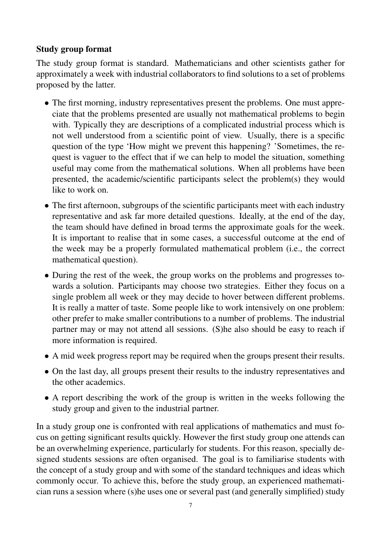## Study group format

The study group format is standard. Mathematicians and other scientists gather for approximately a week with industrial collaborators to find solutions to a set of problems proposed by the latter.

- The first morning, industry representatives present the problems. One must appreciate that the problems presented are usually not mathematical problems to begin with. Typically they are descriptions of a complicated industrial process which is not well understood from a scientific point of view. Usually, there is a specific question of the type 'How might we prevent this happening? 'Sometimes, the request is vaguer to the effect that if we can help to model the situation, something useful may come from the mathematical solutions. When all problems have been presented, the academic/scientific participants select the problem(s) they would like to work on.
- The first afternoon, subgroups of the scientific participants meet with each industry representative and ask far more detailed questions. Ideally, at the end of the day, the team should have defined in broad terms the approximate goals for the week. It is important to realise that in some cases, a successful outcome at the end of the week may be a properly formulated mathematical problem (i.e., the correct mathematical question).
- During the rest of the week, the group works on the problems and progresses towards a solution. Participants may choose two strategies. Either they focus on a single problem all week or they may decide to hover between different problems. It is really a matter of taste. Some people like to work intensively on one problem: other prefer to make smaller contributions to a number of problems. The industrial partner may or may not attend all sessions. (S)he also should be easy to reach if more information is required.
- A mid week progress report may be required when the groups present their results.
- On the last day, all groups present their results to the industry representatives and the other academics.
- A report describing the work of the group is written in the weeks following the study group and given to the industrial partner.

In a study group one is confronted with real applications of mathematics and must focus on getting significant results quickly. However the first study group one attends can be an overwhelming experience, particularly for students. For this reason, specially designed students sessions are often organised. The goal is to familiarise students with the concept of a study group and with some of the standard techniques and ideas which commonly occur. To achieve this, before the study group, an experienced mathematician runs a session where (s)he uses one or several past (and generally simplified) study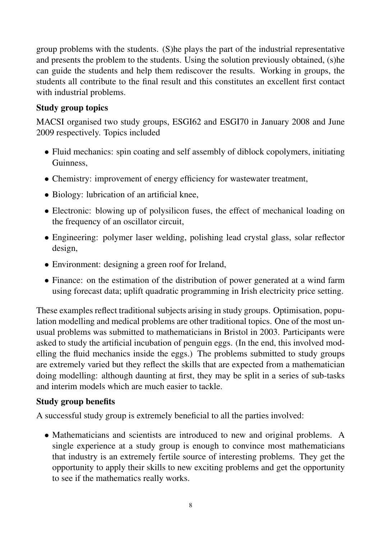group problems with the students. (S)he plays the part of the industrial representative and presents the problem to the students. Using the solution previously obtained, (s)he can guide the students and help them rediscover the results. Working in groups, the students all contribute to the final result and this constitutes an excellent first contact with industrial problems.

## Study group topics

MACSI organised two study groups, ESGI62 and ESGI70 in January 2008 and June 2009 respectively. Topics included

- Fluid mechanics: spin coating and self assembly of diblock copolymers, initiating **Guinness**
- Chemistry: improvement of energy efficiency for wastewater treatment,
- Biology: lubrication of an artificial knee,
- Electronic: blowing up of polysilicon fuses, the effect of mechanical loading on the frequency of an oscillator circuit,
- Engineering: polymer laser welding, polishing lead crystal glass, solar reflector design,
- Environment: designing a green roof for Ireland,
- Finance: on the estimation of the distribution of power generated at a wind farm using forecast data; uplift quadratic programming in Irish electricity price setting.

These examples reflect traditional subjects arising in study groups. Optimisation, population modelling and medical problems are other traditional topics. One of the most unusual problems was submitted to mathematicians in Bristol in 2003. Participants were asked to study the artificial incubation of penguin eggs. (In the end, this involved modelling the fluid mechanics inside the eggs.) The problems submitted to study groups are extremely varied but they reflect the skills that are expected from a mathematician doing modelling: although daunting at first, they may be split in a series of sub-tasks and interim models which are much easier to tackle.

### Study group benefits

A successful study group is extremely beneficial to all the parties involved:

• Mathematicians and scientists are introduced to new and original problems. A single experience at a study group is enough to convince most mathematicians that industry is an extremely fertile source of interesting problems. They get the opportunity to apply their skills to new exciting problems and get the opportunity to see if the mathematics really works.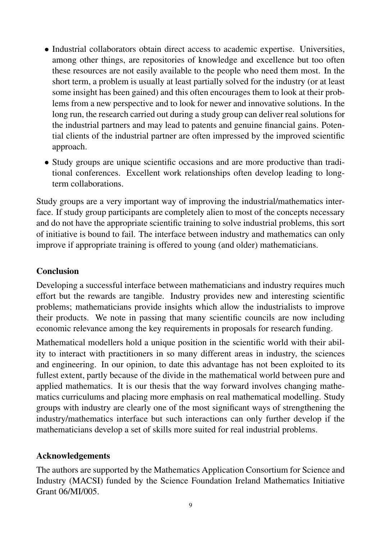- Industrial collaborators obtain direct access to academic expertise. Universities, among other things, are repositories of knowledge and excellence but too often these resources are not easily available to the people who need them most. In the short term, a problem is usually at least partially solved for the industry (or at least some insight has been gained) and this often encourages them to look at their problems from a new perspective and to look for newer and innovative solutions. In the long run, the research carried out during a study group can deliver real solutions for the industrial partners and may lead to patents and genuine financial gains. Potential clients of the industrial partner are often impressed by the improved scientific approach.
- Study groups are unique scientific occasions and are more productive than traditional conferences. Excellent work relationships often develop leading to longterm collaborations.

Study groups are a very important way of improving the industrial/mathematics interface. If study group participants are completely alien to most of the concepts necessary and do not have the appropriate scientific training to solve industrial problems, this sort of initiative is bound to fail. The interface between industry and mathematics can only improve if appropriate training is offered to young (and older) mathematicians.

### **Conclusion**

Developing a successful interface between mathematicians and industry requires much effort but the rewards are tangible. Industry provides new and interesting scientific problems; mathematicians provide insights which allow the industrialists to improve their products. We note in passing that many scientific councils are now including economic relevance among the key requirements in proposals for research funding.

Mathematical modellers hold a unique position in the scientific world with their ability to interact with practitioners in so many different areas in industry, the sciences and engineering. In our opinion, to date this advantage has not been exploited to its fullest extent, partly because of the divide in the mathematical world between pure and applied mathematics. It is our thesis that the way forward involves changing mathematics curriculums and placing more emphasis on real mathematical modelling. Study groups with industry are clearly one of the most significant ways of strengthening the industry/mathematics interface but such interactions can only further develop if the mathematicians develop a set of skills more suited for real industrial problems.

### Acknowledgements

The authors are supported by the Mathematics Application Consortium for Science and Industry (MACSI) funded by the Science Foundation Ireland Mathematics Initiative Grant 06/MI/005.